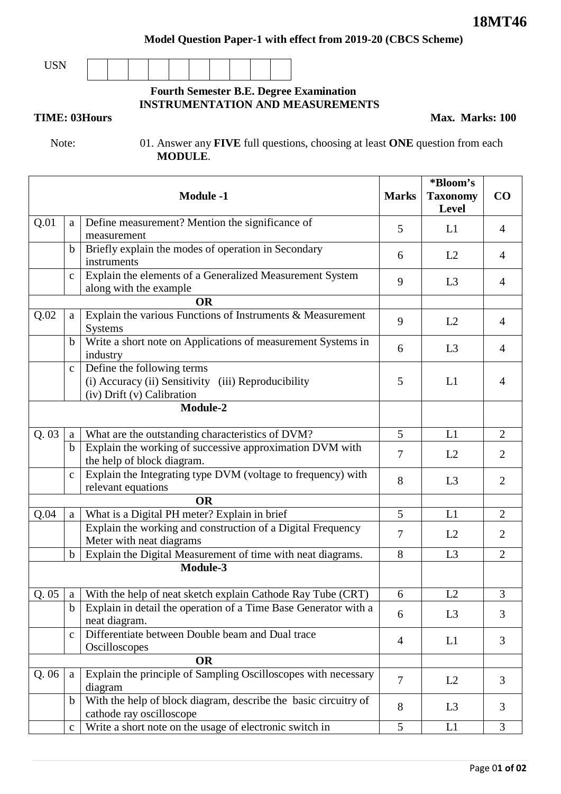**Model Question Paper-1 with effect from 2019-20 (CBCS Scheme)**

USN

## **Fourth Semester B.E. Degree Examination INSTRUMENTATION AND MEASUREMENTS**

**TIME: 03Hours** Max. Marks: 100

 Note: 01. Answer any **FIVE** full questions, choosing at least **ONE** question from each **MODULE**.

| Q.01<br>Define measurement? Mention the significance of<br>a<br>5<br>L1<br>$\overline{4}$<br>measurement<br>Briefly explain the modes of operation in Secondary<br>$\mathbf b$<br>L2<br>$\overline{4}$<br>6<br>instruments<br>Explain the elements of a Generalized Measurement System<br>$\mathbf{C}$<br>L <sub>3</sub><br>9<br>$\overline{4}$<br>along with the example<br><b>OR</b><br>Explain the various Functions of Instruments & Measurement<br>Q.02<br>a<br>9<br>L2<br>$\overline{4}$<br>Systems<br>Write a short note on Applications of measurement Systems in<br>$\mathbf b$<br>L <sub>3</sub><br>6<br>$\overline{4}$<br>industry<br>Define the following terms<br>$\mathbf{C}$<br>(i) Accuracy (ii) Sensitivity (iii) Reproducibility<br>5<br>L1<br>$\overline{4}$<br>(iv) Drift (v) Calibration<br>Module-2<br>5<br>Q.03<br>What are the outstanding characteristics of DVM?<br>L1<br>2<br>a<br>Explain the working of successive approximation DVM with<br>$\mathbf b$<br>$\overline{7}$<br>L2<br>2<br>the help of block diagram.<br>Explain the Integrating type DVM (voltage to frequency) with<br>$\mathbf{C}$<br>8<br>$\overline{2}$<br>L <sub>3</sub><br>relevant equations<br><b>OR</b><br>What is a Digital PH meter? Explain in brief<br>5<br>L1<br>$\overline{2}$<br>Q.04<br>a<br>Explain the working and construction of a Digital Frequency<br>$\overline{7}$<br>$\overline{2}$<br>L2<br>Meter with neat diagrams<br>Explain the Digital Measurement of time with neat diagrams.<br>8<br>L <sub>3</sub><br>$\overline{2}$<br>$\mathbf b$<br>Module-3<br>L2<br>$\mathfrak{Z}$<br>Q.05<br>With the help of neat sketch explain Cathode Ray Tube (CRT)<br>6<br>a<br>Explain in detail the operation of a Time Base Generator with a<br>$\mathbf b$<br>L3<br>3<br>6<br>neat diagram.<br>Differentiate between Double beam and Dual trace<br>$\mathbf{C}$<br>L1<br>3<br>4<br>Oscilloscopes<br><b>OR</b><br>Explain the principle of Sampling Oscilloscopes with necessary<br>Q.06<br>a<br>$\overline{7}$<br>L2<br>3<br>diagram<br>With the help of block diagram, describe the basic circuitry of<br>$\mathbf b$<br>8<br>3<br>L <sub>3</sub> |  | <b>Module -1</b>         | <b>Marks</b> | *Bloom's<br><b>Taxonomy</b><br>Level | $\bf CO$ |
|-------------------------------------------------------------------------------------------------------------------------------------------------------------------------------------------------------------------------------------------------------------------------------------------------------------------------------------------------------------------------------------------------------------------------------------------------------------------------------------------------------------------------------------------------------------------------------------------------------------------------------------------------------------------------------------------------------------------------------------------------------------------------------------------------------------------------------------------------------------------------------------------------------------------------------------------------------------------------------------------------------------------------------------------------------------------------------------------------------------------------------------------------------------------------------------------------------------------------------------------------------------------------------------------------------------------------------------------------------------------------------------------------------------------------------------------------------------------------------------------------------------------------------------------------------------------------------------------------------------------------------------------------------------------------------------------------------------------------------------------------------------------------------------------------------------------------------------------------------------------------------------------------------------------------------------------------------------------------------------------------------------------------------------------------------------------------------------------------------------------------------------------------------------------|--|--------------------------|--------------|--------------------------------------|----------|
|                                                                                                                                                                                                                                                                                                                                                                                                                                                                                                                                                                                                                                                                                                                                                                                                                                                                                                                                                                                                                                                                                                                                                                                                                                                                                                                                                                                                                                                                                                                                                                                                                                                                                                                                                                                                                                                                                                                                                                                                                                                                                                                                                                   |  |                          |              |                                      |          |
|                                                                                                                                                                                                                                                                                                                                                                                                                                                                                                                                                                                                                                                                                                                                                                                                                                                                                                                                                                                                                                                                                                                                                                                                                                                                                                                                                                                                                                                                                                                                                                                                                                                                                                                                                                                                                                                                                                                                                                                                                                                                                                                                                                   |  |                          |              |                                      |          |
|                                                                                                                                                                                                                                                                                                                                                                                                                                                                                                                                                                                                                                                                                                                                                                                                                                                                                                                                                                                                                                                                                                                                                                                                                                                                                                                                                                                                                                                                                                                                                                                                                                                                                                                                                                                                                                                                                                                                                                                                                                                                                                                                                                   |  |                          |              |                                      |          |
|                                                                                                                                                                                                                                                                                                                                                                                                                                                                                                                                                                                                                                                                                                                                                                                                                                                                                                                                                                                                                                                                                                                                                                                                                                                                                                                                                                                                                                                                                                                                                                                                                                                                                                                                                                                                                                                                                                                                                                                                                                                                                                                                                                   |  |                          |              |                                      |          |
|                                                                                                                                                                                                                                                                                                                                                                                                                                                                                                                                                                                                                                                                                                                                                                                                                                                                                                                                                                                                                                                                                                                                                                                                                                                                                                                                                                                                                                                                                                                                                                                                                                                                                                                                                                                                                                                                                                                                                                                                                                                                                                                                                                   |  |                          |              |                                      |          |
|                                                                                                                                                                                                                                                                                                                                                                                                                                                                                                                                                                                                                                                                                                                                                                                                                                                                                                                                                                                                                                                                                                                                                                                                                                                                                                                                                                                                                                                                                                                                                                                                                                                                                                                                                                                                                                                                                                                                                                                                                                                                                                                                                                   |  |                          |              |                                      |          |
|                                                                                                                                                                                                                                                                                                                                                                                                                                                                                                                                                                                                                                                                                                                                                                                                                                                                                                                                                                                                                                                                                                                                                                                                                                                                                                                                                                                                                                                                                                                                                                                                                                                                                                                                                                                                                                                                                                                                                                                                                                                                                                                                                                   |  |                          |              |                                      |          |
|                                                                                                                                                                                                                                                                                                                                                                                                                                                                                                                                                                                                                                                                                                                                                                                                                                                                                                                                                                                                                                                                                                                                                                                                                                                                                                                                                                                                                                                                                                                                                                                                                                                                                                                                                                                                                                                                                                                                                                                                                                                                                                                                                                   |  |                          |              |                                      |          |
|                                                                                                                                                                                                                                                                                                                                                                                                                                                                                                                                                                                                                                                                                                                                                                                                                                                                                                                                                                                                                                                                                                                                                                                                                                                                                                                                                                                                                                                                                                                                                                                                                                                                                                                                                                                                                                                                                                                                                                                                                                                                                                                                                                   |  |                          |              |                                      |          |
|                                                                                                                                                                                                                                                                                                                                                                                                                                                                                                                                                                                                                                                                                                                                                                                                                                                                                                                                                                                                                                                                                                                                                                                                                                                                                                                                                                                                                                                                                                                                                                                                                                                                                                                                                                                                                                                                                                                                                                                                                                                                                                                                                                   |  |                          |              |                                      |          |
|                                                                                                                                                                                                                                                                                                                                                                                                                                                                                                                                                                                                                                                                                                                                                                                                                                                                                                                                                                                                                                                                                                                                                                                                                                                                                                                                                                                                                                                                                                                                                                                                                                                                                                                                                                                                                                                                                                                                                                                                                                                                                                                                                                   |  |                          |              |                                      |          |
|                                                                                                                                                                                                                                                                                                                                                                                                                                                                                                                                                                                                                                                                                                                                                                                                                                                                                                                                                                                                                                                                                                                                                                                                                                                                                                                                                                                                                                                                                                                                                                                                                                                                                                                                                                                                                                                                                                                                                                                                                                                                                                                                                                   |  |                          |              |                                      |          |
|                                                                                                                                                                                                                                                                                                                                                                                                                                                                                                                                                                                                                                                                                                                                                                                                                                                                                                                                                                                                                                                                                                                                                                                                                                                                                                                                                                                                                                                                                                                                                                                                                                                                                                                                                                                                                                                                                                                                                                                                                                                                                                                                                                   |  |                          |              |                                      |          |
|                                                                                                                                                                                                                                                                                                                                                                                                                                                                                                                                                                                                                                                                                                                                                                                                                                                                                                                                                                                                                                                                                                                                                                                                                                                                                                                                                                                                                                                                                                                                                                                                                                                                                                                                                                                                                                                                                                                                                                                                                                                                                                                                                                   |  |                          |              |                                      |          |
|                                                                                                                                                                                                                                                                                                                                                                                                                                                                                                                                                                                                                                                                                                                                                                                                                                                                                                                                                                                                                                                                                                                                                                                                                                                                                                                                                                                                                                                                                                                                                                                                                                                                                                                                                                                                                                                                                                                                                                                                                                                                                                                                                                   |  |                          |              |                                      |          |
|                                                                                                                                                                                                                                                                                                                                                                                                                                                                                                                                                                                                                                                                                                                                                                                                                                                                                                                                                                                                                                                                                                                                                                                                                                                                                                                                                                                                                                                                                                                                                                                                                                                                                                                                                                                                                                                                                                                                                                                                                                                                                                                                                                   |  |                          |              |                                      |          |
|                                                                                                                                                                                                                                                                                                                                                                                                                                                                                                                                                                                                                                                                                                                                                                                                                                                                                                                                                                                                                                                                                                                                                                                                                                                                                                                                                                                                                                                                                                                                                                                                                                                                                                                                                                                                                                                                                                                                                                                                                                                                                                                                                                   |  |                          |              |                                      |          |
|                                                                                                                                                                                                                                                                                                                                                                                                                                                                                                                                                                                                                                                                                                                                                                                                                                                                                                                                                                                                                                                                                                                                                                                                                                                                                                                                                                                                                                                                                                                                                                                                                                                                                                                                                                                                                                                                                                                                                                                                                                                                                                                                                                   |  |                          |              |                                      |          |
|                                                                                                                                                                                                                                                                                                                                                                                                                                                                                                                                                                                                                                                                                                                                                                                                                                                                                                                                                                                                                                                                                                                                                                                                                                                                                                                                                                                                                                                                                                                                                                                                                                                                                                                                                                                                                                                                                                                                                                                                                                                                                                                                                                   |  |                          |              |                                      |          |
|                                                                                                                                                                                                                                                                                                                                                                                                                                                                                                                                                                                                                                                                                                                                                                                                                                                                                                                                                                                                                                                                                                                                                                                                                                                                                                                                                                                                                                                                                                                                                                                                                                                                                                                                                                                                                                                                                                                                                                                                                                                                                                                                                                   |  |                          |              |                                      |          |
|                                                                                                                                                                                                                                                                                                                                                                                                                                                                                                                                                                                                                                                                                                                                                                                                                                                                                                                                                                                                                                                                                                                                                                                                                                                                                                                                                                                                                                                                                                                                                                                                                                                                                                                                                                                                                                                                                                                                                                                                                                                                                                                                                                   |  |                          |              |                                      |          |
|                                                                                                                                                                                                                                                                                                                                                                                                                                                                                                                                                                                                                                                                                                                                                                                                                                                                                                                                                                                                                                                                                                                                                                                                                                                                                                                                                                                                                                                                                                                                                                                                                                                                                                                                                                                                                                                                                                                                                                                                                                                                                                                                                                   |  | cathode ray oscilloscope |              |                                      |          |
| Write a short note on the usage of electronic switch in<br>5<br>L1<br>3<br>$\mathbf{C}$                                                                                                                                                                                                                                                                                                                                                                                                                                                                                                                                                                                                                                                                                                                                                                                                                                                                                                                                                                                                                                                                                                                                                                                                                                                                                                                                                                                                                                                                                                                                                                                                                                                                                                                                                                                                                                                                                                                                                                                                                                                                           |  |                          |              |                                      |          |